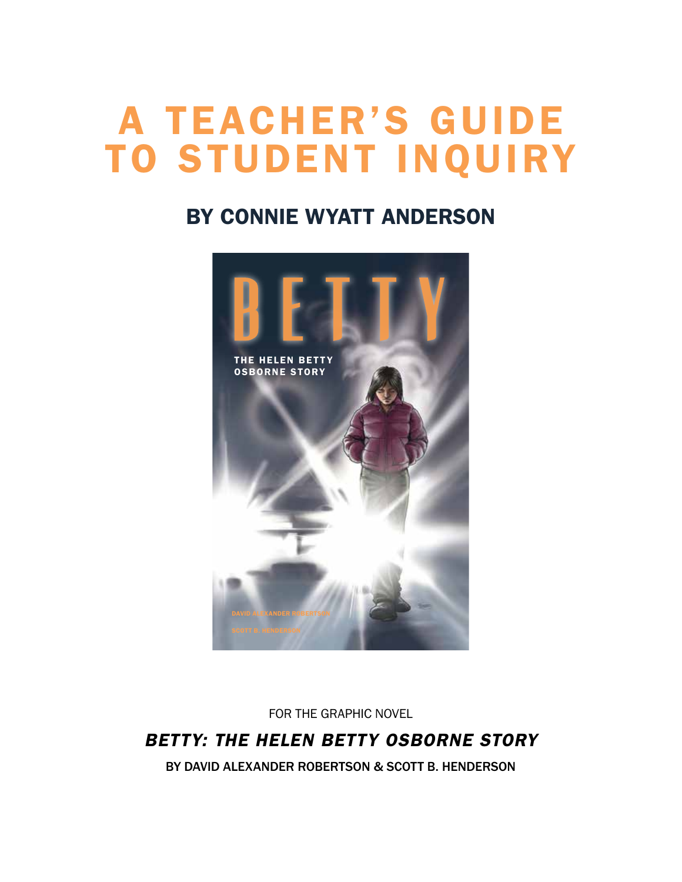# A TEACHER'S GUIDE TO STUDENT INQUIRY

### BY CONNIE WYATT ANDERSON



FOR THE GRAPHIC NOVEL

### *BETTY: THE HELEN BETTY OSBORNE STORY*

BY DAVID ALEXANDER ROBERTSON & SCOTT B. HENDERSON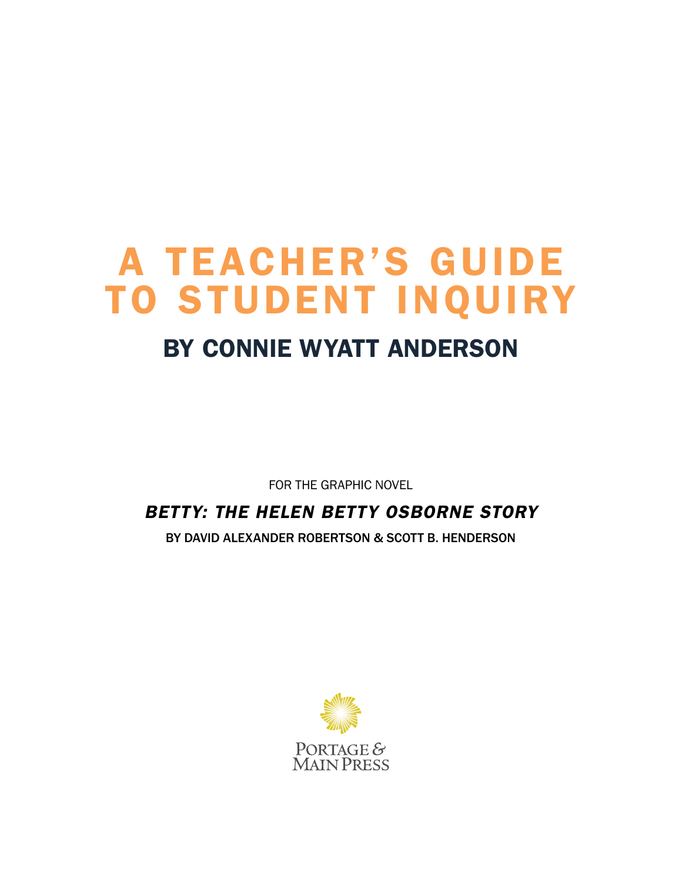# A TEACHER'S GUIDE TO STUDENT INQUIRY

### BY CONNIE WYATT ANDERSON

FOR THE GRAPHIC NOVEL

### *BETTY: THE HELEN BETTY OSBORNE STORY*

BY DAVID ALEXANDER ROBERTSON & SCOTT B. HENDERSON

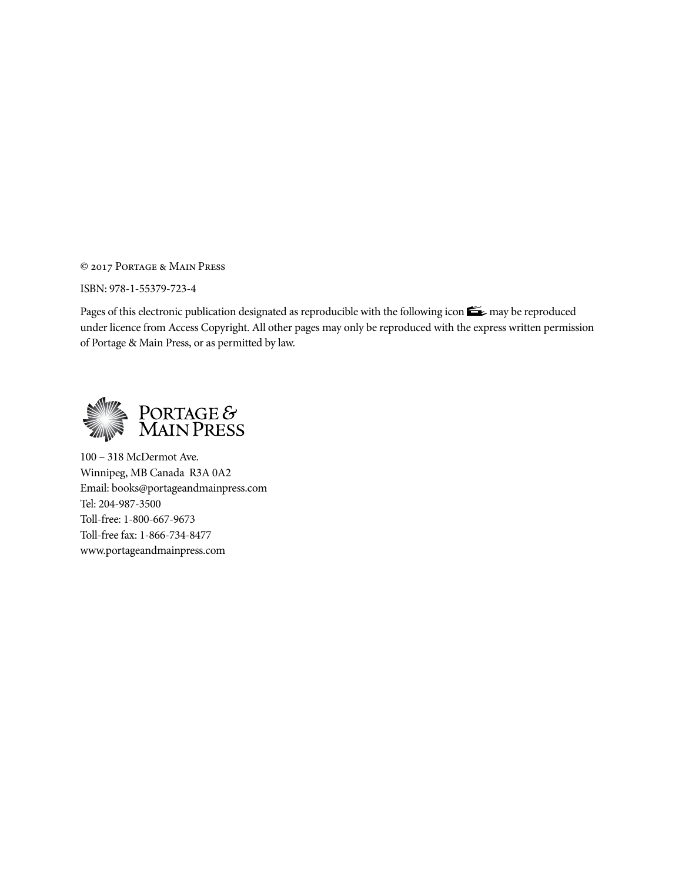© 2017 Portage & Main Press

ISBN: 978-1-55379-723-4

Pages of this electronic publication designated as reproducible with the following icon  $\blacktriangleright$  may be reproduced under licence from Access Copyright. All other pages may only be reproduced with the express written permission of Portage & Main Press, or as permitted by law.



100 – 318 McDermot Ave. Winnipeg, MB Canada R3A 0A2 Email: books@portageandmainpress.com Tel: 204-987-3500 Toll-free: 1-800-667-9673 Toll-free fax: 1-866-734-8477 www.portageandmainpress.com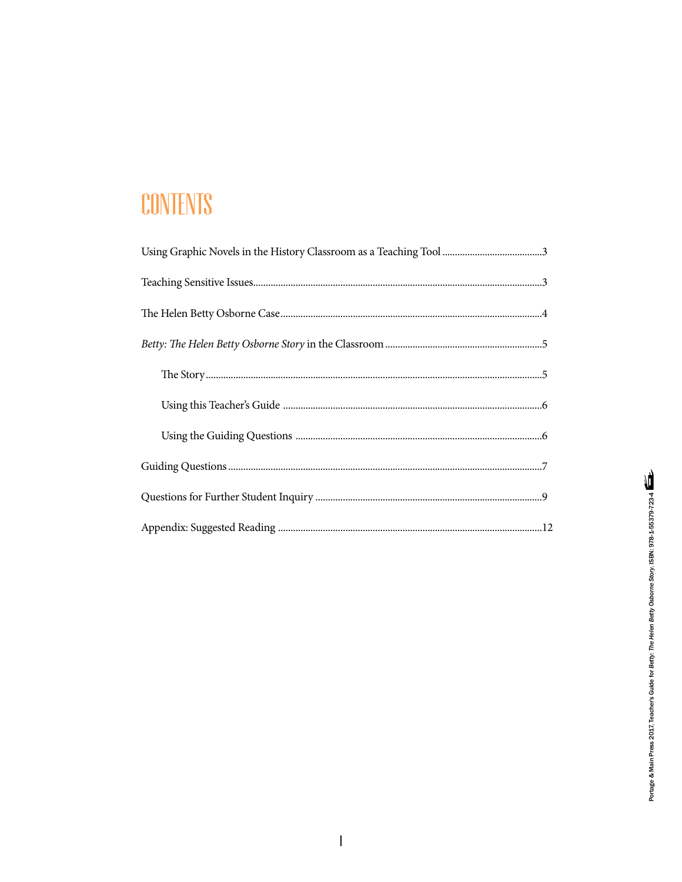# CONTENTS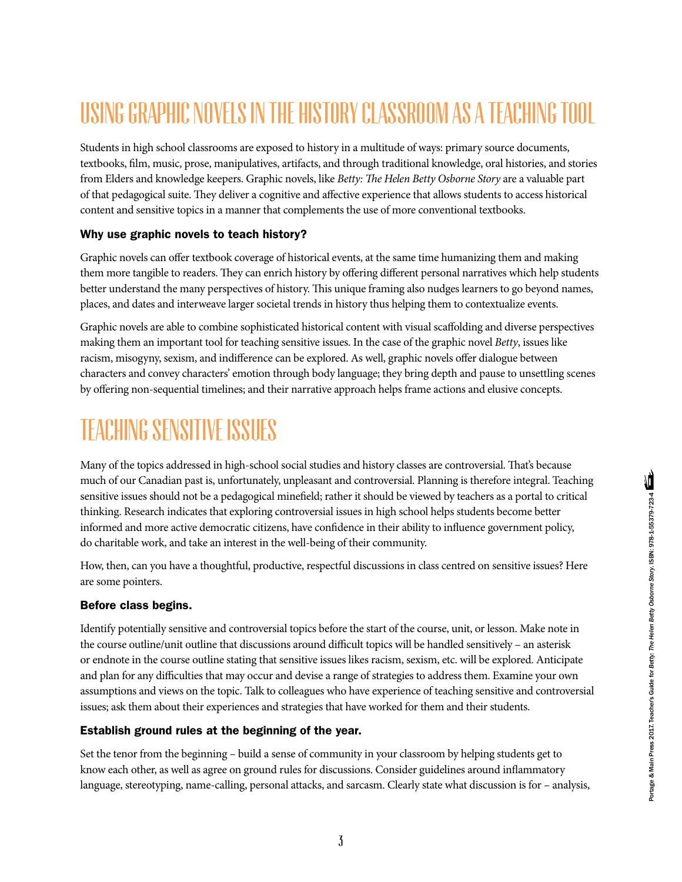# Using Graphic Novels in the History Classroom as a Teaching Tool

Students in high school classrooms are exposed to history in a multitude of ways: primary source documents, textbooks, film, music, prose, manipulatives, artifacts, and through traditional knowledge, oral histories, and stories from Elders and knowledge keepers. Graphic novels, like *Betty: The Helen Betty Osborne Story* are a valuable part of that pedagogical suite. They deliver a cognitive and affective experience that allows students to access historical content and sensitive topics in a manner that complements the use of more conventional textbooks.

### Why use graphic novels to teach history?

Graphic novels can offer textbook coverage of historical events, at the same time humanizing them and making them more tangible to readers. They can enrich history by offering different personal narratives which help students better understand the many perspectives of history. This unique framing also nudges learners to go beyond names, places, and dates and interweave larger societal trends in history thus helping them to contextualize events.

Graphic novels are able to combine sophisticated historical content with visual scaffolding and diverse perspectives making them an important tool for teaching sensitive issues. In the case of the graphic novel *Betty*, issues like racism, misogyny, sexism, and indifference can be explored. As well, graphic novels offer dialogue between characters and convey characters' emotion through body language; they bring depth and pause to unsettling scenes by offering non-sequential timelines; and their narrative approach helps frame actions and elusive concepts.

### Teaching Sensitive Issues

Many of the topics addressed in high-school social studies and history classes are controversial. That's because much of our Canadian past is, unfortunately, unpleasant and controversial. Planning is therefore integral. Teaching sensitive issues should not be a pedagogical minefield; rather it should be viewed by teachers as a portal to critical thinking. Research indicates that exploring controversial issues in high school helps students become better informed and more active democratic citizens, have confidence in their ability to influence government policy, do charitable work, and take an interest in the well-being of their community.

How, then, can you have a thoughtful, productive, respectful discussions in class centred on sensitive issues? Here are some pointers.

### Before class begins.

Identify potentially sensitive and controversial topics before the start of the course, unit, or lesson. Make note in the course outline/unit outline that discussions around difficult topics will be handled sensitively – an asterisk or endnote in the course outline stating that sensitive issues likes racism, sexism, etc. will be explored. Anticipate and plan for any difficulties that may occur and devise a range of strategies to address them. Examine your own assumptions and views on the topic. Talk to colleagues who have experience of teaching sensitive and controversial issues; ask them about their experiences and strategies that have worked for them and their students.

### Establish ground rules at the beginning of the year.

Set the tenor from the beginning – build a sense of community in your classroom by helping students get to know each other, as well as agree on ground rules for discussions. Consider guidelines around inflammatory language, stereotyping, name-calling, personal attacks, and sarcasm. Clearly state what discussion is for – analysis,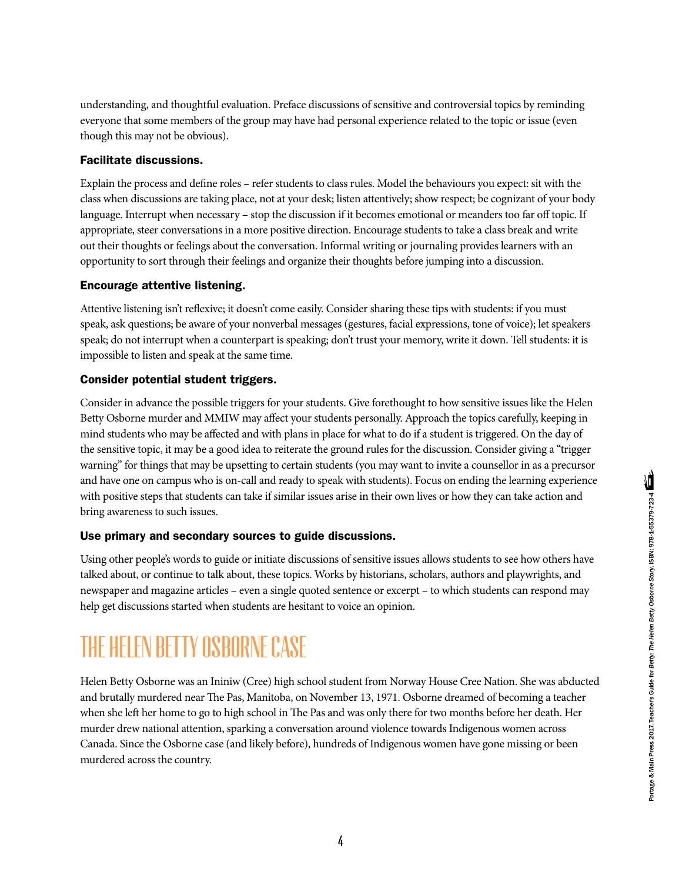understanding, and thoughtful evaluation. Preface discussions of sensitive and controversial topics by reminding everyone that some members of the group may have had personal experience related to the topic or issue (even though this may not be obvious).

#### Facilitate discussions.

Explain the process and define roles – refer students to class rules. Model the behaviours you expect: sit with the class when discussions are taking place, not at your desk; listen attentively; show respect; be cognizant of your body language. Interrupt when necessary – stop the discussion if it becomes emotional or meanders too far off topic. If appropriate, steer conversations in a more positive direction. Encourage students to take a class break and write out their thoughts or feelings about the conversation. Informal writing or journaling provides learners with an opportunity to sort through their feelings and organize their thoughts before jumping into a discussion.

### Encourage attentive listening.

Attentive listening isn't reflexive; it doesn't come easily. Consider sharing these tips with students: if you must speak, ask questions; be aware of your nonverbal messages (gestures, facial expressions, tone of voice); let speakers speak; do not interrupt when a counterpart is speaking; don't trust your memory, write it down. Tell students: it is impossible to listen and speak at the same time.

#### Consider potential student triggers.

Consider in advance the possible triggers for your students. Give forethought to how sensitive issues like the Helen Betty Osborne murder and MMIW may affect your students personally. Approach the topics carefully, keeping in mind students who may be affected and with plans in place for what to do if a student is triggered. On the day of the sensitive topic, it may be a good idea to reiterate the ground rules for the discussion. Consider giving a "trigger warning" for things that may be upsetting to certain students (you may want to invite a counsellor in as a precursor and have one on campus who is on-call and ready to speak with students). Focus on ending the learning experience with positive steps that students can take if similar issues arise in their own lives or how they can take action and bring awareness to such issues.

### Use primary and secondary sources to guide discussions.

Using other people's words to guide or initiate discussions of sensitive issues allows students to see how others have talked about, or continue to talk about, these topics. Works by historians, scholars, authors and playwrights, and newspaper and magazine articles – even a single quoted sentence or excerpt – to which students can respond may help get discussions started when students are hesitant to voice an opinion.

## The Helen Betty Osborne Case

Helen Betty Osborne was an Ininiw (Cree) high school student from Norway House Cree Nation. She was abducted and brutally murdered near The Pas, Manitoba, on November 13, 1971. Osborne dreamed of becoming a teacher when she left her home to go to high school in The Pas and was only there for two months before her death. Her murder drew national attention, sparking a conversation around violence towards Indigenous women across Canada. Since the Osborne case (and likely before), hundreds of Indigenous women have gone missing or been murdered across the country.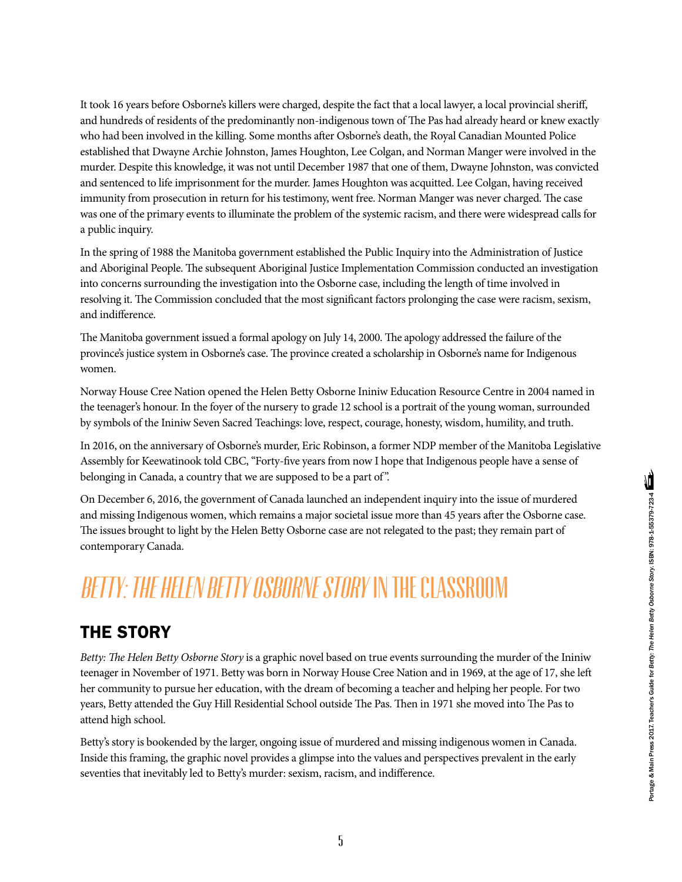It took 16 years before Osborne's killers were charged, despite the fact that a local lawyer, a local provincial sheriff, and hundreds of residents of the predominantly non-indigenous town of The Pas had already heard or knew exactly who had been involved in the killing. Some months after Osborne's death, the Royal Canadian Mounted Police established that Dwayne Archie Johnston, James Houghton, Lee Colgan, and Norman Manger were involved in the murder. Despite this knowledge, it was not until December 1987 that one of them, Dwayne Johnston, was convicted and sentenced to life imprisonment for the murder. James Houghton was acquitted. Lee Colgan, having received immunity from prosecution in return for his testimony, went free. Norman Manger was never charged. The case was one of the primary events to illuminate the problem of the systemic racism, and there were widespread calls for a public inquiry.

In the spring of 1988 the Manitoba government established the Public Inquiry into the Administration of Justice and Aboriginal People. The subsequent Aboriginal Justice Implementation Commission conducted an investigation into concerns surrounding the investigation into the Osborne case, including the length of time involved in resolving it. The Commission concluded that the most significant factors prolonging the case were racism, sexism, and indifference.

The Manitoba government issued a formal apology on July 14, 2000. The apology addressed the failure of the province's justice system in Osborne's case. The province created a scholarship in Osborne's name for Indigenous women.

Norway House Cree Nation opened the Helen Betty Osborne Ininiw Education Resource Centre in 2004 named in the teenager's honour. In the foyer of the nursery to grade 12 school is a portrait of the young woman, surrounded by symbols of the Ininiw Seven Sacred Teachings: love, respect, courage, honesty, wisdom, humility, and truth.

In 2016, on the anniversary of Osborne's murder, Eric Robinson, a former NDP member of the Manitoba Legislative Assembly for Keewatinook told CBC, "Forty-five years from now I hope that Indigenous people have a sense of belonging in Canada, a country that we are supposed to be a part of".

On December 6, 2016, the government of Canada launched an independent inquiry into the issue of murdered and missing Indigenous women, which remains a major societal issue more than 45 years after the Osborne case. The issues brought to light by the Helen Betty Osborne case are not relegated to the past; they remain part of contemporary Canada.

## Betty: The Helen Betty Osborne Story in the Classroom

### THE STORY

*Betty: The Helen Betty Osborne Story* is a graphic novel based on true events surrounding the murder of the Ininiw teenager in November of 1971. Betty was born in Norway House Cree Nation and in 1969, at the age of 17, she left her community to pursue her education, with the dream of becoming a teacher and helping her people. For two years, Betty attended the Guy Hill Residential School outside The Pas. Then in 1971 she moved into The Pas to attend high school.

Betty's story is bookended by the larger, ongoing issue of murdered and missing indigenous women in Canada. Inside this framing, the graphic novel provides a glimpse into the values and perspectives prevalent in the early seventies that inevitably led to Betty's murder: sexism, racism, and indifference.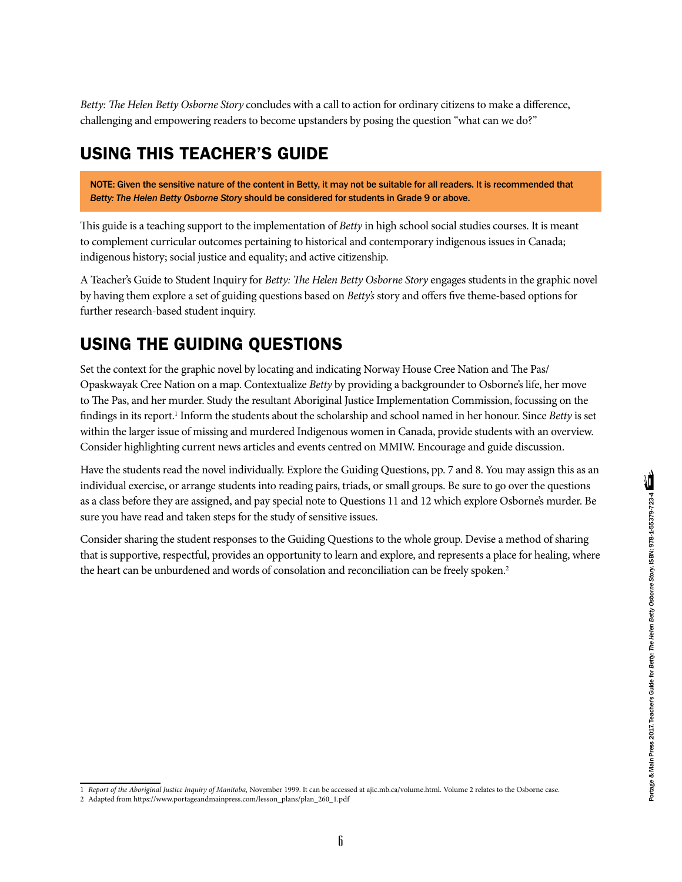Portage & Main Press 2017. Teacher's Guide for *Betty: The Helen Betty Osborne Story*. ISBN: 978-1-55379-723-4

*Betty: The Helen Betty Osborne Story* concludes with a call to action for ordinary citizens to make a difference, challenging and empowering readers to become upstanders by posing the question "what can we do?"

### USING THIS TEACHER'S GUIDE

NOTE: Given the sensitive nature of the content in Betty, it may not be suitable for all readers. It is recommended that *Betty: The Helen Betty Osborne Story* should be considered for students in Grade 9 or above.

This guide is a teaching support to the implementation of *Betty* in high school social studies courses. It is meant to complement curricular outcomes pertaining to historical and contemporary indigenous issues in Canada; indigenous history; social justice and equality; and active citizenship.

A Teacher's Guide to Student Inquiry for *Betty: The Helen Betty Osborne Story* engages students in the graphic novel by having them explore a set of guiding questions based on *Betty's* story and offers five theme-based options for further research-based student inquiry.

### USING THE GUIDING QUESTIONS

Set the context for the graphic novel by locating and indicating Norway House Cree Nation and The Pas/ Opaskwayak Cree Nation on a map. Contextualize *Betty* by providing a backgrounder to Osborne's life, her move to The Pas, and her murder. Study the resultant Aboriginal Justice Implementation Commission, focussing on the findings in its report.<sup>1</sup> Inform the students about the scholarship and school named in her honour. Since *Betty* is set within the larger issue of missing and murdered Indigenous women in Canada, provide students with an overview. Consider highlighting current news articles and events centred on MMIW. Encourage and guide discussion.

Have the students read the novel individually. Explore the Guiding Questions, pp. 7 and 8. You may assign this as an individual exercise, or arrange students into reading pairs, triads, or small groups. Be sure to go over the questions as a class before they are assigned, and pay special note to Questions 11 and 12 which explore Osborne's murder. Be sure you have read and taken steps for the study of sensitive issues.

Consider sharing the student responses to the Guiding Questions to the whole group. Devise a method of sharing that is supportive, respectful, provides an opportunity to learn and explore, and represents a place for healing, where the heart can be unburdened and words of consolation and reconciliation can be freely spoken.<sup>2</sup>

<sup>1</sup> *Report of the Aboriginal Justice Inquiry of Manitoba,* November 1999. It can be accessed at ajic.mb.ca/volume.html. Volume 2 relates to the Osborne case.

<sup>2</sup> Adapted from https://www.portageandmainpress.com/lesson\_plans/plan\_260\_1.pdf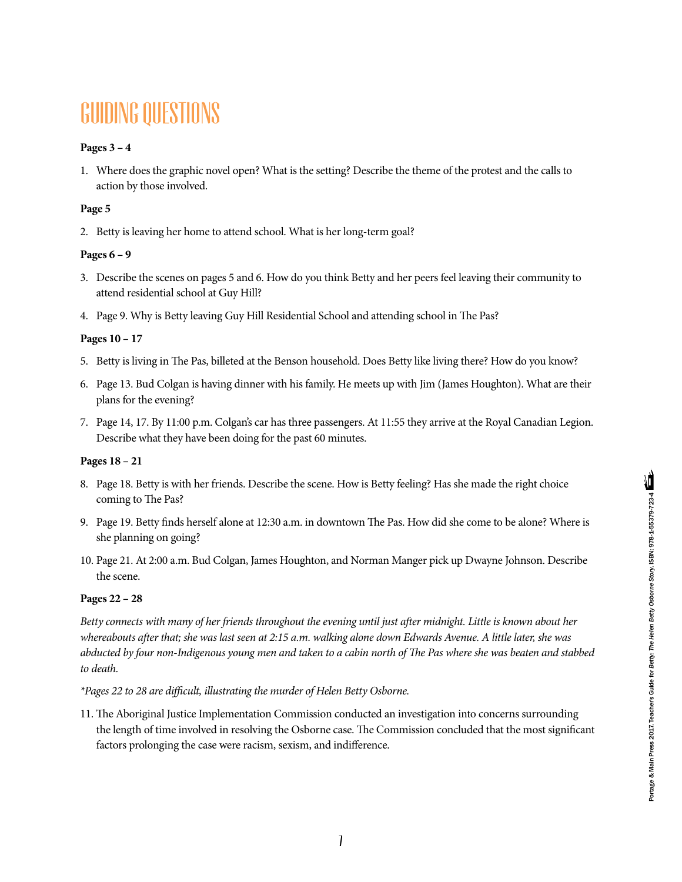## Guiding Questions

### **Pages 3 – 4**

1. Where does the graphic novel open? What is the setting? Describe the theme of the protest and the calls to action by those involved.

#### **Page 5**

2. Betty is leaving her home to attend school. What is her long-term goal?

#### **Pages 6 – 9**

- 3. Describe the scenes on pages 5 and 6. How do you think Betty and her peers feel leaving their community to attend residential school at Guy Hill?
- 4. Page 9. Why is Betty leaving Guy Hill Residential School and attending school in The Pas?

#### **Pages 10 – 17**

- 5. Betty is living in The Pas, billeted at the Benson household. Does Betty like living there? How do you know?
- 6. Page 13. Bud Colgan is having dinner with his family. He meets up with Jim (James Houghton). What are their plans for the evening?
- 7. Page 14, 17. By 11:00 p.m. Colgan's car has three passengers. At 11:55 they arrive at the Royal Canadian Legion. Describe what they have been doing for the past 60 minutes.

#### **Pages 18 – 21**

- 8. Page 18. Betty is with her friends. Describe the scene. How is Betty feeling? Has she made the right choice coming to The Pas?
- 9. Page 19. Betty finds herself alone at 12:30 a.m. in downtown The Pas. How did she come to be alone? Where is she planning on going?
- 10. Page 21. At 2:00 a.m. Bud Colgan, James Houghton, and Norman Manger pick up Dwayne Johnson. Describe the scene.

#### **Pages 22 – 28**

*Betty connects with many of her friends throughout the evening until just after midnight. Little is known about her whereabouts after that; she was last seen at 2:15 a.m. walking alone down Edwards Avenue. A little later, she was abducted by four non-Indigenous young men and taken to a cabin north of The Pas where she was beaten and stabbed to death.*

*\*Pages 22 to 28 are difficult, illustrating the murder of Helen Betty Osborne.* 

11. The Aboriginal Justice Implementation Commission conducted an investigation into concerns surrounding the length of time involved in resolving the Osborne case. The Commission concluded that the most significant factors prolonging the case were racism, sexism, and indifference.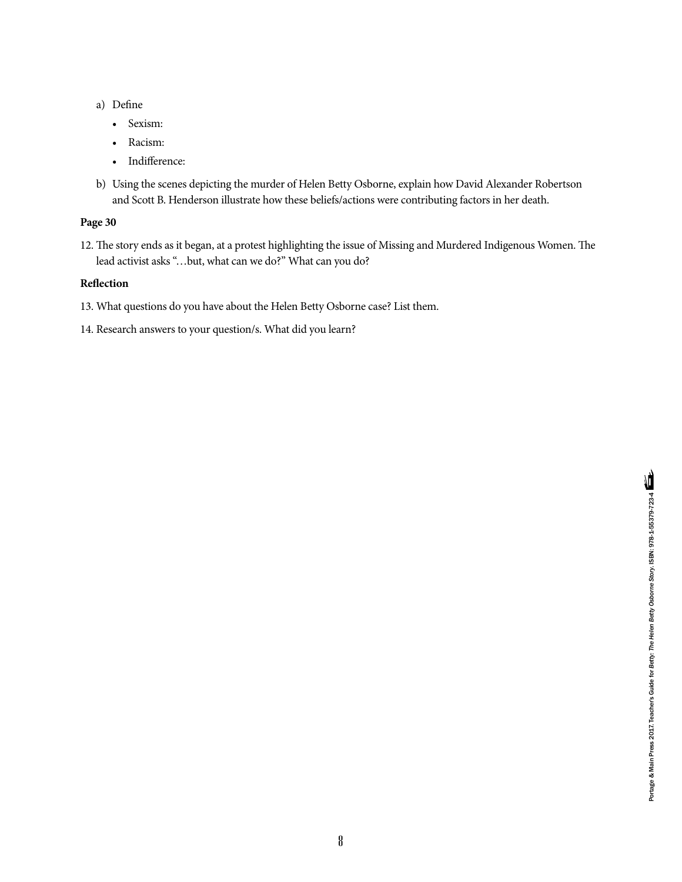Portage & Main Press 2017. Teacher's Guide for Betty: The Helen Betty Osborne Story. ISBN: 978-1-55379-723-4 Portage & Main Press 2017. Teacher's Guide for *Betty: The Helen Betty Osborne Story*. ISBN: 978-1-55379-723-4

- a) Define
	- Sexism:
	- Racism:
	- Indifference:
- b) Using the scenes depicting the murder of Helen Betty Osborne, explain how David Alexander Robertson and Scott B. Henderson illustrate how these beliefs/actions were contributing factors in her death.

#### **Page 30**

12. The story ends as it began, at a protest highlighting the issue of Missing and Murdered Indigenous Women. The lead activist asks "…but, what can we do?" What can you do?

### **Reflection**

- 13. What questions do you have about the Helen Betty Osborne case? List them.
- 14. Research answers to your question/s. What did you learn?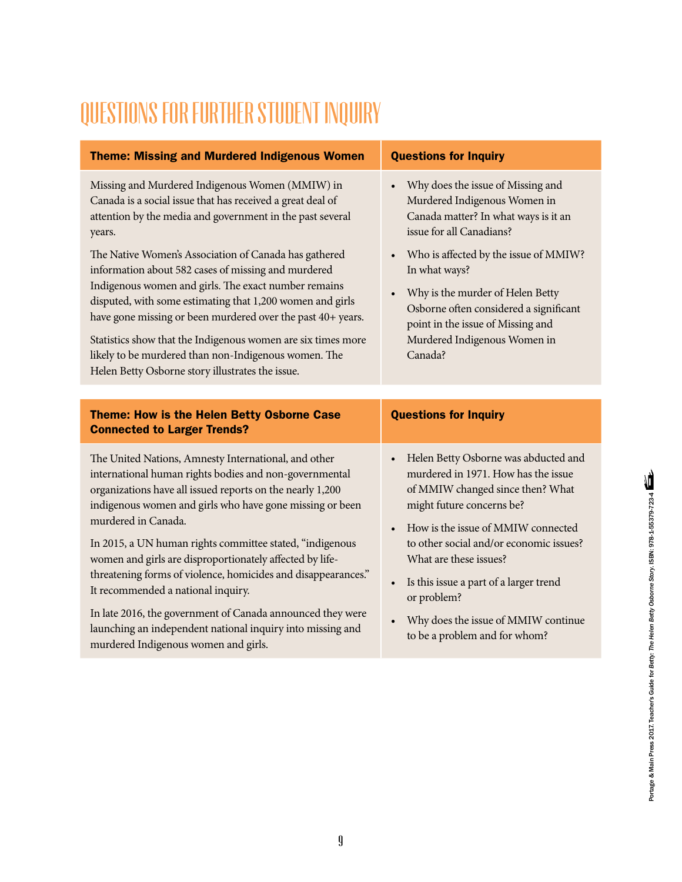| <b>Theme: Missing and Murdered Indigenous Women</b>                                                                                                                                                                                                                                                                                                                                                                                                                                                                                                                                                                                                                  | <b>Questions for Inquiry</b>                                                                                                                                                                                                                                                                                                                                                      |
|----------------------------------------------------------------------------------------------------------------------------------------------------------------------------------------------------------------------------------------------------------------------------------------------------------------------------------------------------------------------------------------------------------------------------------------------------------------------------------------------------------------------------------------------------------------------------------------------------------------------------------------------------------------------|-----------------------------------------------------------------------------------------------------------------------------------------------------------------------------------------------------------------------------------------------------------------------------------------------------------------------------------------------------------------------------------|
| Missing and Murdered Indigenous Women (MMIW) in<br>Canada is a social issue that has received a great deal of<br>attention by the media and government in the past several<br>years.<br>The Native Women's Association of Canada has gathered<br>information about 582 cases of missing and murdered<br>Indigenous women and girls. The exact number remains<br>disputed, with some estimating that 1,200 women and girls<br>have gone missing or been murdered over the past 40+ years.<br>Statistics show that the Indigenous women are six times more<br>likely to be murdered than non-Indigenous women. The<br>Helen Betty Osborne story illustrates the issue. | Why does the issue of Missing and<br>Murdered Indigenous Women in<br>Canada matter? In what ways is it an<br>issue for all Canadians?<br>Who is affected by the issue of MMIW?<br>In what ways?<br>Why is the murder of Helen Betty<br>Osborne often considered a significant<br>point in the issue of Missing and<br>Murdered Indigenous Women in<br>Canada?                     |
|                                                                                                                                                                                                                                                                                                                                                                                                                                                                                                                                                                                                                                                                      |                                                                                                                                                                                                                                                                                                                                                                                   |
|                                                                                                                                                                                                                                                                                                                                                                                                                                                                                                                                                                                                                                                                      |                                                                                                                                                                                                                                                                                                                                                                                   |
| Theme: How is the Helen Betty Osborne Case<br><b>Connected to Larger Trends?</b>                                                                                                                                                                                                                                                                                                                                                                                                                                                                                                                                                                                     | <b>Questions for Inquiry</b>                                                                                                                                                                                                                                                                                                                                                      |
| The United Nations, Amnesty International, and other<br>international human rights bodies and non-governmental<br>organizations have all issued reports on the nearly 1,200<br>indigenous women and girls who have gone missing or been<br>murdered in Canada.<br>In 2015, a UN human rights committee stated, "indigenous<br>women and girls are disproportionately affected by life-<br>threatening forms of violence, homicides and disappearances."<br>It recommended a national inquiry.<br>In late 2016, the government of Canada announced they were<br>launching an independent national inquiry into missing and                                            | Helen Betty Osborne was abducted and<br>murdered in 1971. How has the issue<br>of MMIW changed since then? What<br>might future concerns be?<br>How is the issue of MMIW connected<br>to other social and/or economic issues?<br>What are these issues?<br>Is this issue a part of a larger trend<br>$\bullet$<br>or problem?<br>Why does the issue of MMIW continue<br>$\bullet$ |

# Questions for Further Student Inquiry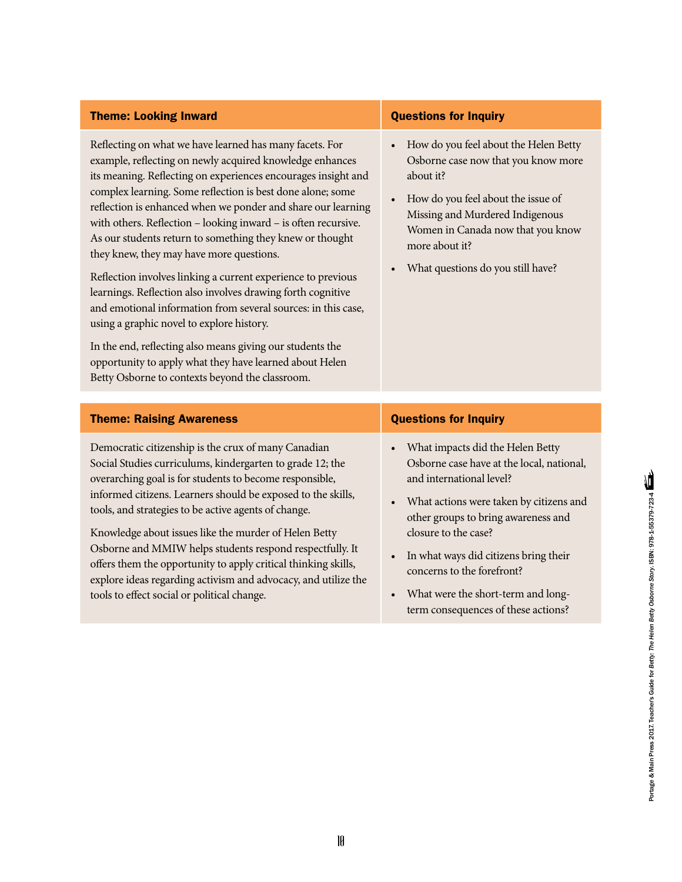| <b>Theme: Looking Inward</b>                                                                                                                                                                                                                                                                                                                                                                                                                                                                                                                                                                                                                                                                                                                                                                                                                                                                                         | <b>Questions for Inquiry</b>                                                                                                                                                                                                                                                                                                                                                                                                |
|----------------------------------------------------------------------------------------------------------------------------------------------------------------------------------------------------------------------------------------------------------------------------------------------------------------------------------------------------------------------------------------------------------------------------------------------------------------------------------------------------------------------------------------------------------------------------------------------------------------------------------------------------------------------------------------------------------------------------------------------------------------------------------------------------------------------------------------------------------------------------------------------------------------------|-----------------------------------------------------------------------------------------------------------------------------------------------------------------------------------------------------------------------------------------------------------------------------------------------------------------------------------------------------------------------------------------------------------------------------|
| Reflecting on what we have learned has many facets. For<br>example, reflecting on newly acquired knowledge enhances<br>its meaning. Reflecting on experiences encourages insight and<br>complex learning. Some reflection is best done alone; some<br>reflection is enhanced when we ponder and share our learning<br>with others. Reflection - looking inward - is often recursive.<br>As our students return to something they knew or thought<br>they knew, they may have more questions.<br>Reflection involves linking a current experience to previous<br>learnings. Reflection also involves drawing forth cognitive<br>and emotional information from several sources: in this case,<br>using a graphic novel to explore history.<br>In the end, reflecting also means giving our students the<br>opportunity to apply what they have learned about Helen<br>Betty Osborne to contexts beyond the classroom. | How do you feel about the Helen Betty<br>Osborne case now that you know more<br>about it?<br>How do you feel about the issue of<br>$\bullet$<br>Missing and Murdered Indigenous<br>Women in Canada now that you know<br>more about it?<br>What questions do you still have?<br>$\bullet$                                                                                                                                    |
| <b>Theme: Raising Awareness</b>                                                                                                                                                                                                                                                                                                                                                                                                                                                                                                                                                                                                                                                                                                                                                                                                                                                                                      | <b>Questions for Inquiry</b>                                                                                                                                                                                                                                                                                                                                                                                                |
| Democratic citizenship is the crux of many Canadian<br>Social Studies curriculums, kindergarten to grade 12; the<br>overarching goal is for students to become responsible,<br>informed citizens. Learners should be exposed to the skills,<br>tools, and strategies to be active agents of change.<br>Knowledge about issues like the murder of Helen Betty<br>Osborne and MMIW helps students respond respectfully. It<br>offers them the opportunity to apply critical thinking skills,<br>explore ideas regarding activism and advocacy, and utilize the<br>tools to effect social or political change.                                                                                                                                                                                                                                                                                                          | What impacts did the Helen Betty<br>$\bullet$<br>Osborne case have at the local, national,<br>and international level?<br>What actions were taken by citizens and<br>$\bullet$<br>other groups to bring awareness and<br>closure to the case?<br>In what ways did citizens bring their<br>$\bullet$<br>concerns to the forefront?<br>What were the short-term and long-<br>$\bullet$<br>term consequences of these actions? |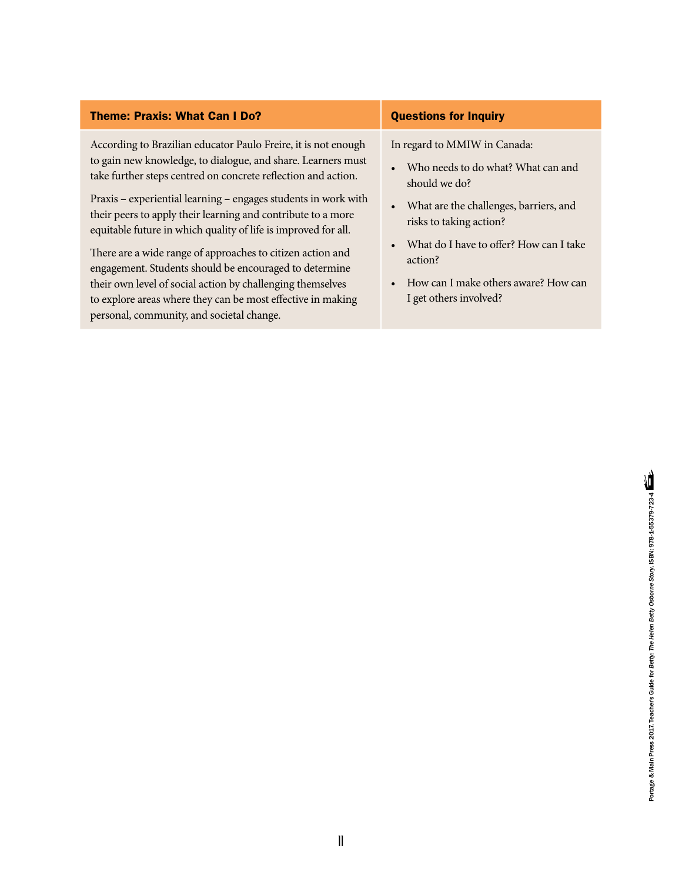| <b>Theme: Praxis: What Can I Do?</b>                                                                                                                                                                                                                                                                                                                                                                                                                                                                                                                                                                                                                                                                  | <b>Questions for Inquiry</b>                                                                                                                                                                                                                                                                                                         |
|-------------------------------------------------------------------------------------------------------------------------------------------------------------------------------------------------------------------------------------------------------------------------------------------------------------------------------------------------------------------------------------------------------------------------------------------------------------------------------------------------------------------------------------------------------------------------------------------------------------------------------------------------------------------------------------------------------|--------------------------------------------------------------------------------------------------------------------------------------------------------------------------------------------------------------------------------------------------------------------------------------------------------------------------------------|
| According to Brazilian educator Paulo Freire, it is not enough<br>to gain new knowledge, to dialogue, and share. Learners must<br>take further steps centred on concrete reflection and action.<br>Praxis – experiential learning – engages students in work with<br>their peers to apply their learning and contribute to a more<br>equitable future in which quality of life is improved for all.<br>There are a wide range of approaches to citizen action and<br>engagement. Students should be encouraged to determine<br>their own level of social action by challenging themselves<br>to explore areas where they can be most effective in making<br>personal, community, and societal change. | In regard to MMIW in Canada:<br>Who needs to do what? What can and<br>$\bullet$<br>should we do?<br>What are the challenges, barriers, and<br>$\bullet$<br>risks to taking action?<br>What do I have to offer? How can I take<br>$\bullet$<br>action?<br>How can I make others aware? How can<br>$\bullet$<br>I get others involved? |